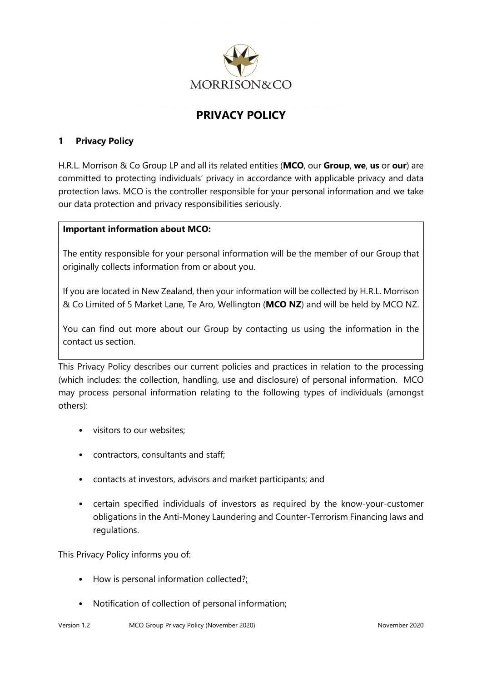

# **PRIVACY POLICY**

### **1 Privacy Policy**

H.R.L. Morrison & Co Group LP and all its related entities (**MCO**, our **Group**, **we**, **us** or **our**) are committed to protecting individuals' privacy in accordance with applicable privacy and data protection laws. MCO is the controller responsible for your personal information and we take our data protection and privacy responsibilities seriously.

#### **Important information about MCO:**

The entity responsible for your personal information will be the member of our Group that originally collects information from or about you.

If you are located in New Zealand, then your information will be collected by H.R.L. Morrison & Co Limited of 5 Market Lane, Te Aro, Wellington (**MCO NZ**) and will be held by MCO NZ.

You can find out more about our Group by contacting us using the information in the contact us section.

This Privacy Policy describes our current policies and practices in relation to the processing (which includes: the collection, handling, use and disclosure) of personal information. MCO may process personal information relating to the following types of individuals (amongst others):

- visitors to our websites;
- contractors, consultants and staff;
- contacts at investors, advisors and market participants; and
- certain specified individuals of investors as required by the know-your-customer obligations in the Anti-Money Laundering and Counter-Terrorism Financing laws and regulations.

This Privacy Policy informs you of:

- [How is personal information collected?;](#page-1-0)
- Notification of collection of personal information;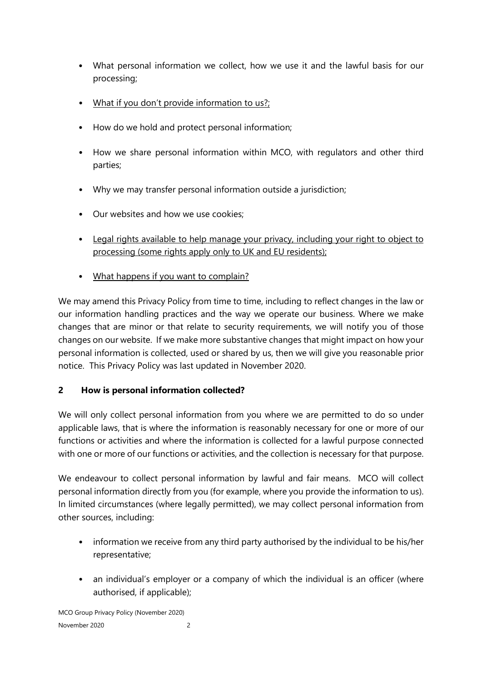- What personal information we collect, how we use it and the lawful basis for our processing;
- [What if you don't provide information to us?;](#page-5-0)
- How do we hold and protect personal information;
- [How we share personal information within MCO, with regulators and other third](#page-5-1)  [parties;](#page-5-1)
- [Why we may transfer personal information outside a jurisdiction;](#page-5-1)
- Our websites and how we use cookies;
- Legal rights available to help manage your privacy, including your right to object to processing (some rights apply only to UK and EU residents);
- [What happens if you want to complain?](#page-12-0)

We may amend this Privacy Policy from time to time, including to reflect changes in the law or our information handling practices and the way we operate our business. Where we make changes that are minor or that relate to security requirements, we will notify you of those changes on our website. If we make more substantive changes that might impact on how your personal information is collected, used or shared by us, then we will give you reasonable prior notice. This Privacy Policy was last updated in November 2020.

## <span id="page-1-0"></span>**2 How is personal information collected?**

We will only collect personal information from you where we are permitted to do so under applicable laws, that is where the information is reasonably necessary for one or more of our functions or activities and where the information is collected for a lawful purpose connected with one or more of our functions or activities, and the collection is necessary for that purpose.

We endeavour to collect personal information by lawful and fair means. MCO will collect personal information directly from you (for example, where you provide the information to us). In limited circumstances (where legally permitted), we may collect personal information from other sources, including:

- information we receive from any third party authorised by the individual to be his/her representative;
- an individual's employer or a company of which the individual is an officer (where authorised, if applicable);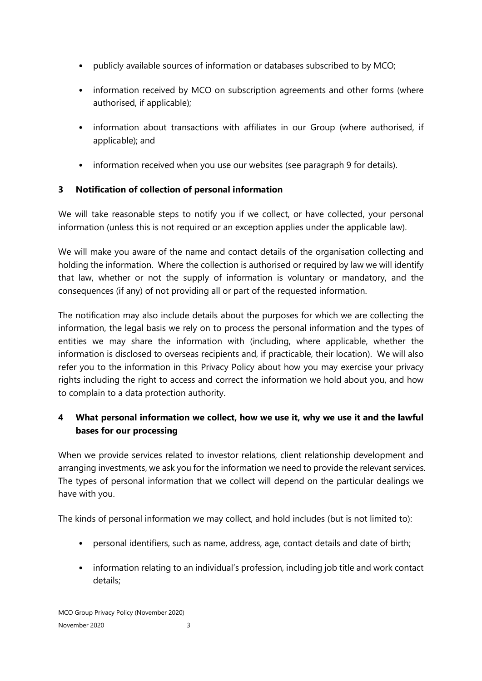- publicly available sources of information or databases subscribed to by MCO;
- information received by MCO on subscription agreements and other forms (where authorised, if applicable);
- information about transactions with affiliates in our Group (where authorised, if applicable); and
- information received when you use our websites (see paragraph 9 for details).

## **3 Notification of collection of personal information**

We will take reasonable steps to notify you if we collect, or have collected, your personal information (unless this is not required or an exception applies under the applicable law).

We will make you aware of the name and contact details of the organisation collecting and holding the information. Where the collection is authorised or required by law we will identify that law, whether or not the supply of information is voluntary or mandatory, and the consequences (if any) of not providing all or part of the requested information.

The notification may also include details about the purposes for which we are collecting the information, the legal basis we rely on to process the personal information and the types of entities we may share the information with (including, where applicable, whether the information is disclosed to overseas recipients and, if practicable, their location). We will also refer you to the information in this Privacy Policy about how you may exercise your privacy rights including the right to access and correct the information we hold about you, and how to complain to a data protection authority.

## **4 What personal information we collect, how we use it, why we use it and the lawful bases for our processing**

When we provide services related to investor relations, client relationship development and arranging investments, we ask you for the information we need to provide the relevant services. The types of personal information that we collect will depend on the particular dealings we have with you.

The kinds of personal information we may collect, and hold includes (but is not limited to):

- personal identifiers, such as name, address, age, contact details and date of birth;
- information relating to an individual's profession, including job title and work contact details;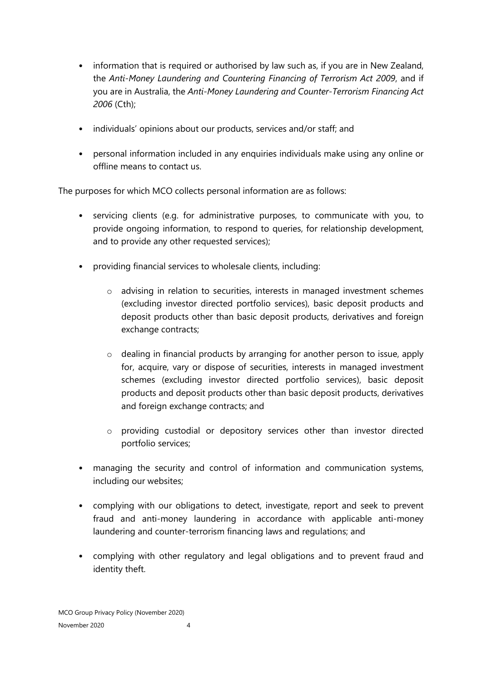- information that is required or authorised by law such as, if you are in New Zealand, the *Anti-Money Laundering and Countering Financing of Terrorism Act 2009*, and if you are in Australia, the *Anti-Money Laundering and Counter-Terrorism Financing Act 2006* (Cth);
- individuals' opinions about our products, services and/or staff; and
- personal information included in any enquiries individuals make using any online or offline means to contact us.

The purposes for which MCO collects personal information are as follows:

- servicing clients (e.g. for administrative purposes, to communicate with you, to provide ongoing information, to respond to queries, for relationship development, and to provide any other requested services);
- providing financial services to wholesale clients, including:
	- o advising in relation to securities, interests in managed investment schemes (excluding investor directed portfolio services), basic deposit products and deposit products other than basic deposit products, derivatives and foreign exchange contracts;
	- $\circ$  dealing in financial products by arranging for another person to issue, apply for, acquire, vary or dispose of securities, interests in managed investment schemes (excluding investor directed portfolio services), basic deposit products and deposit products other than basic deposit products, derivatives and foreign exchange contracts; and
	- o providing custodial or depository services other than investor directed portfolio services;
- managing the security and control of information and communication systems, including our websites;
- complying with our obligations to detect, investigate, report and seek to prevent fraud and anti-money laundering in accordance with applicable anti-money laundering and counter-terrorism financing laws and regulations; and
- complying with other regulatory and legal obligations and to prevent fraud and identity theft.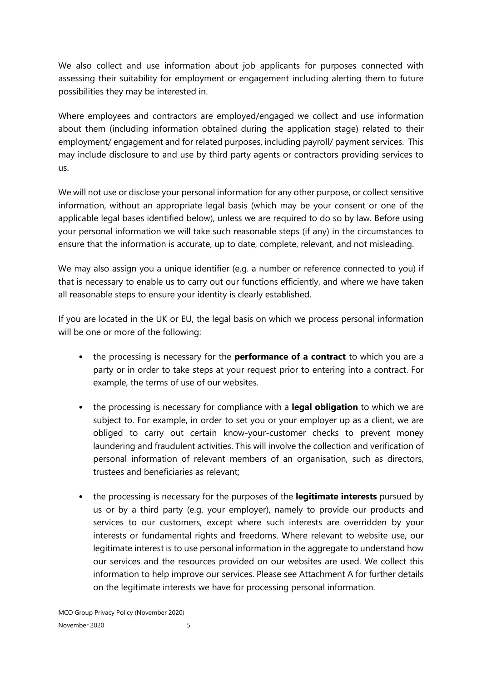We also collect and use information about job applicants for purposes connected with assessing their suitability for employment or engagement including alerting them to future possibilities they may be interested in.

Where employees and contractors are employed/engaged we collect and use information about them (including information obtained during the application stage) related to their employment/ engagement and for related purposes, including payroll/ payment services.This may include disclosure to and use by third party agents or contractors providing services to us.

We will not use or disclose your personal information for any other purpose, or collect sensitive information, without an appropriate legal basis (which may be your consent or one of the applicable legal bases identified below), unless we are required to do so by law. Before using your personal information we will take such reasonable steps (if any) in the circumstances to ensure that the information is accurate, up to date, complete, relevant, and not misleading.

We may also assign you a unique identifier (e.g. a number or reference connected to you) if that is necessary to enable us to carry out our functions efficiently, and where we have taken all reasonable steps to ensure your identity is clearly established.

If you are located in the UK or EU, the legal basis on which we process personal information will be one or more of the following:

- the processing is necessary for the **performance of a contract** to which you are a party or in order to take steps at your request prior to entering into a contract. For example, the terms of use of our websites.
- the processing is necessary for compliance with a **legal obligation** to which we are subject to. For example, in order to set you or your employer up as a client, we are obliged to carry out certain know-your-customer checks to prevent money laundering and fraudulent activities. This will involve the collection and verification of personal information of relevant members of an organisation, such as directors, trustees and beneficiaries as relevant;
- the processing is necessary for the purposes of the **legitimate interests** pursued by us or by a third party (e.g. your employer), namely to provide our products and services to our customers, except where such interests are overridden by your interests or fundamental rights and freedoms. Where relevant to website use, our legitimate interest is to use personal information in the aggregate to understand how our services and the resources provided on our websites are used. We collect this information to help improve our services. Please see Attachment A for further details on the legitimate interests we have for processing personal information.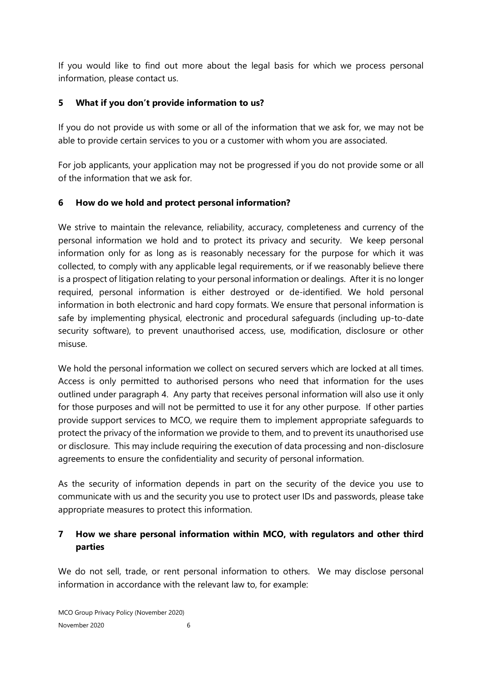If you would like to find out more about the legal basis for which we process personal information, please contact us.

### <span id="page-5-0"></span>**5 What if you don't provide information to us?**

If you do not provide us with some or all of the information that we ask for, we may not be able to provide certain services to you or a customer with whom you are associated.

For job applicants, your application may not be progressed if you do not provide some or all of the information that we ask for.

### **6 How do we hold and protect personal information?**

We strive to maintain the relevance, reliability, accuracy, completeness and currency of the personal information we hold and to protect its privacy and security. We keep personal information only for as long as is reasonably necessary for the purpose for which it was collected, to comply with any applicable legal requirements, or if we reasonably believe there is a prospect of litigation relating to your personal information or dealings. After it is no longer required, personal information is either destroyed or de-identified. We hold personal information in both electronic and hard copy formats. We ensure that personal information is safe by implementing physical, electronic and procedural safeguards (including up-to-date security software), to prevent unauthorised access, use, modification, disclosure or other misuse.

We hold the personal information we collect on secured servers which are locked at all times. Access is only permitted to authorised persons who need that information for the uses outlined under paragraph 4. Any party that receives personal information will also use it only for those purposes and will not be permitted to use it for any other purpose. If other parties provide support services to MCO, we require them to implement appropriate safeguards to protect the privacy of the information we provide to them, and to prevent its unauthorised use or disclosure. This may include requiring the execution of data processing and non-disclosure agreements to ensure the confidentiality and security of personal information.

As the security of information depends in part on the security of the device you use to communicate with us and the security you use to protect user IDs and passwords, please take appropriate measures to protect this information.

## <span id="page-5-1"></span>**7 How we share personal information within MCO, with regulators and other third parties**

We do not sell, trade, or rent personal information to others. We may disclose personal information in accordance with the relevant law to, for example: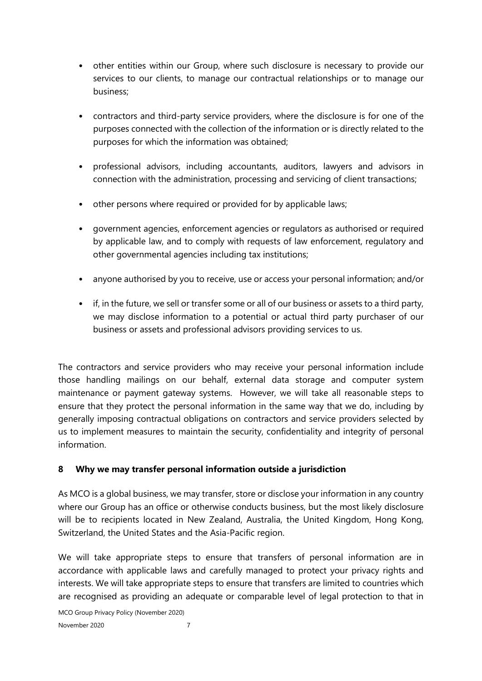- other entities within our Group, where such disclosure is necessary to provide our services to our clients, to manage our contractual relationships or to manage our business;
- contractors and third-party service providers, where the disclosure is for one of the purposes connected with the collection of the information or is directly related to the purposes for which the information was obtained;
- professional advisors, including accountants, auditors, lawyers and advisors in connection with the administration, processing and servicing of client transactions;
- other persons where required or provided for by applicable laws;
- government agencies, enforcement agencies or regulators as authorised or required by applicable law, and to comply with requests of law enforcement, regulatory and other governmental agencies including tax institutions;
- anyone authorised by you to receive, use or access your personal information; and/or
- if, in the future, we sell or transfer some or all of our business or assets to a third party, we may disclose information to a potential or actual third party purchaser of our business or assets and professional advisors providing services to us.

The contractors and service providers who may receive your personal information include those handling mailings on our behalf, external data storage and computer system maintenance or payment gateway systems. However, we will take all reasonable steps to ensure that they protect the personal information in the same way that we do, including by generally imposing contractual obligations on contractors and service providers selected by us to implement measures to maintain the security, confidentiality and integrity of personal information.

## **8 Why we may transfer personal information outside a jurisdiction**

As MCO is a global business, we may transfer, store or disclose your information in any country where our Group has an office or otherwise conducts business, but the most likely disclosure will be to recipients located in New Zealand, Australia, the United Kingdom, Hong Kong, Switzerland, the United States and the Asia-Pacific region.

We will take appropriate steps to ensure that transfers of personal information are in accordance with applicable laws and carefully managed to protect your privacy rights and interests. We will take appropriate steps to ensure that transfers are limited to countries which are recognised as providing an adequate or comparable level of legal protection to that in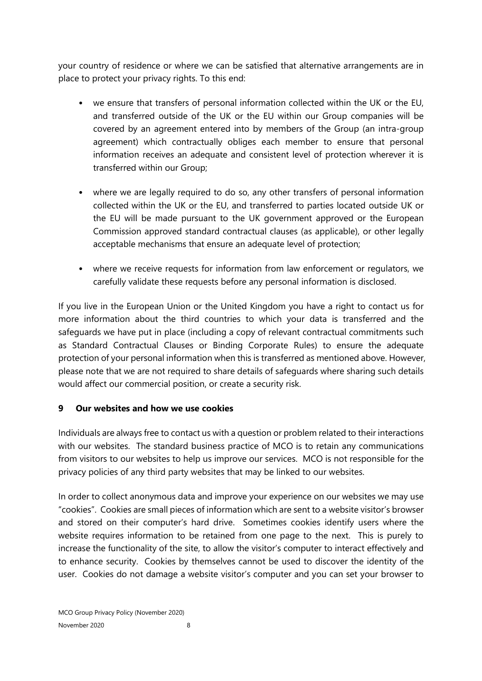your country of residence or where we can be satisfied that alternative arrangements are in place to protect your privacy rights. To this end:

- we ensure that transfers of personal information collected within the UK or the EU, and transferred outside of the UK or the EU within our Group companies will be covered by an agreement entered into by members of the Group (an intra-group agreement) which contractually obliges each member to ensure that personal information receives an adequate and consistent level of protection wherever it is transferred within our Group;
- where we are legally required to do so, any other transfers of personal information collected within the UK or the EU, and transferred to parties located outside UK or the EU will be made pursuant to the UK government approved or the European Commission approved standard contractual clauses (as applicable), or other legally acceptable mechanisms that ensure an adequate level of protection;
- where we receive requests for information from law enforcement or regulators, we carefully validate these requests before any personal information is disclosed.

If you live in the European Union or the United Kingdom you have a right to contact us for more information about the third countries to which your data is transferred and the safeguards we have put in place (including a copy of relevant contractual commitments such as Standard Contractual Clauses or Binding Corporate Rules) to ensure the adequate protection of your personal information when this is transferred as mentioned above. However, please note that we are not required to share details of safeguards where sharing such details would affect our commercial position, or create a security risk.

### **9 Our websites and how we use cookies**

Individuals are always free to contact us with a question or problem related to their interactions with our websites. The standard business practice of MCO is to retain any communications from visitors to our websites to help us improve our services. MCO is not responsible for the privacy policies of any third party websites that may be linked to our websites.

In order to collect anonymous data and improve your experience on our websites we may use "cookies". Cookies are small pieces of information which are sent to a website visitor's browser and stored on their computer's hard drive. Sometimes cookies identify users where the website requires information to be retained from one page to the next. This is purely to increase the functionality of the site, to allow the visitor's computer to interact effectively and to enhance security. Cookies by themselves cannot be used to discover the identity of the user. Cookies do not damage a website visitor's computer and you can set your browser to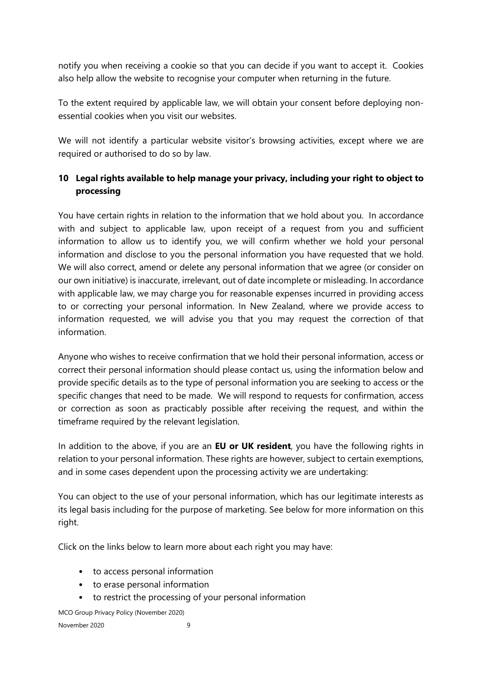notify you when receiving a cookie so that you can decide if you want to accept it. Cookies also help allow the website to recognise your computer when returning in the future.

To the extent required by applicable law, we will obtain your consent before deploying nonessential cookies when you visit our websites.

We will not identify a particular website visitor's browsing activities, except where we are required or authorised to do so by law.

## **10 Legal rights available to help manage your privacy, including your right to object to processing**

You have certain rights in relation to the information that we hold about you. In accordance with and subject to applicable law, upon receipt of a request from you and sufficient information to allow us to identify you, we will confirm whether we hold your personal information and disclose to you the personal information you have requested that we hold. We will also correct, amend or delete any personal information that we agree (or consider on our own initiative) is inaccurate, irrelevant, out of date incomplete or misleading. In accordance with applicable law, we may charge you for reasonable expenses incurred in providing access to or correcting your personal information. In New Zealand, where we provide access to information requested, we will advise you that you may request the correction of that information.

Anyone who wishes to receive confirmation that we hold their personal information, access or correct their personal information should please contact us, using the information below and provide specific details as to the type of personal information you are seeking to access or the specific changes that need to be made. We will respond to requests for confirmation, access or correction as soon as practicably possible after receiving the request, and within the timeframe required by the relevant legislation.

In addition to the above, if you are an **EU or UK resident**, you have the following rights in relation to your personal information. These rights are however, subject to certain exemptions, and in some cases dependent upon the processing activity we are undertaking:

You can object to the use of your personal information, which has our legitimate interests as its legal basis including for the purpose of marketing. See below for more information on this right.

Click on the links below to learn more about each right you may have:

- to access personal information
- to erase personal information
- to restrict the processing of your personal information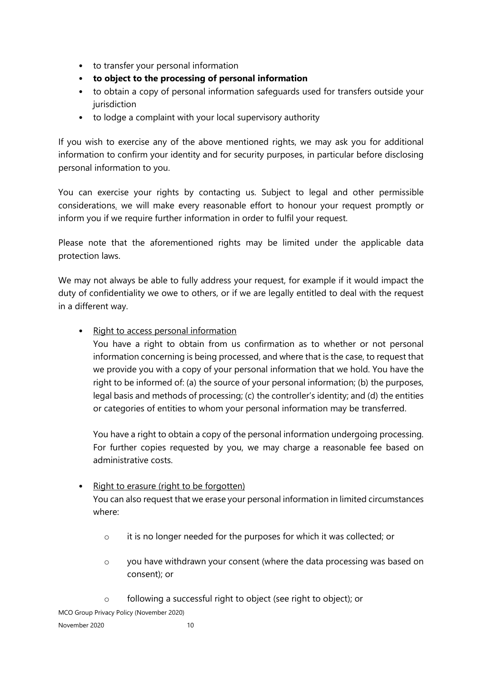- to transfer your personal information
- **to object to the processing of personal information**
- to obtain a copy of personal information safeguards used for transfers outside your jurisdiction
- to lodge a complaint with your local supervisory authority

If you wish to exercise any of the above mentioned rights, we may ask you for additional information to confirm your identity and for security purposes, in particular before disclosing personal information to you.

You can exercise your rights by contacting us. Subject to legal and other permissible considerations, we will make every reasonable effort to honour your request promptly or inform you if we require further information in order to fulfil your request.

Please note that the aforementioned rights may be limited under the applicable data protection laws.

We may not always be able to fully address your request, for example if it would impact the duty of confidentiality we owe to others, or if we are legally entitled to deal with the request in a different way.

### • Right to access personal information

You have a right to obtain from us confirmation as to whether or not personal information concerning is being processed, and where that is the case, to request that we provide you with a copy of your personal information that we hold. You have the right to be informed of: (a) the source of your personal information; (b) the purposes, legal basis and methods of processing; (c) the controller's identity; and (d) the entities or categories of entities to whom your personal information may be transferred.

You have a right to obtain a copy of the personal information undergoing processing. For further copies requested by you, we may charge a reasonable fee based on administrative costs.

## • Right to erasure (right to be forgotten) You can also request that we erase your personal information in limited circumstances where:

- o it is no longer needed for the purposes for which it was collected; or
- o you have withdrawn your consent (where the data processing was based on consent); or
- o following a successful right to object (see right to object); or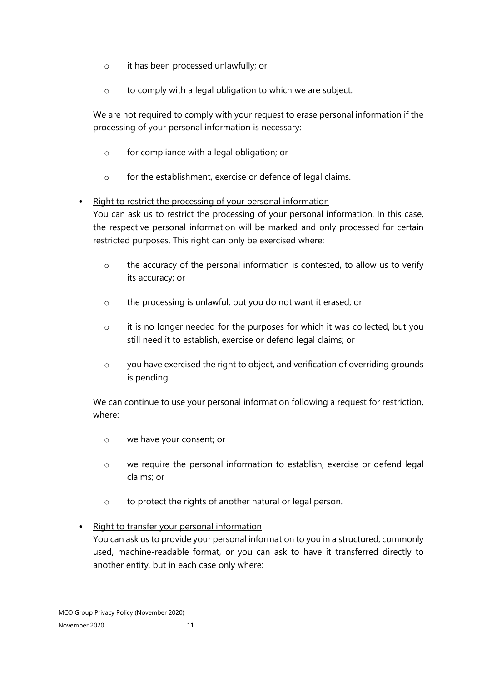- o it has been processed unlawfully; or
- o to comply with a legal obligation to which we are subject.

We are not required to comply with your request to erase personal information if the processing of your personal information is necessary:

- o for compliance with a legal obligation; or
- o for the establishment, exercise or defence of legal claims.

### • Right to restrict the processing of your personal information

You can ask us to restrict the processing of your personal information. In this case, the respective personal information will be marked and only processed for certain restricted purposes. This right can only be exercised where:

- o the accuracy of the personal information is contested, to allow us to verify its accuracy; or
- o the processing is unlawful, but you do not want it erased; or
- o it is no longer needed for the purposes for which it was collected, but you still need it to establish, exercise or defend legal claims; or
- o you have exercised the right to object, and verification of overriding grounds is pending.

We can continue to use your personal information following a request for restriction, where:

- o we have your consent; or
- o we require the personal information to establish, exercise or defend legal claims; or
- o to protect the rights of another natural or legal person.

### • Right to transfer your personal information

You can ask us to provide your personal information to you in a structured, commonly used, machine-readable format, or you can ask to have it transferred directly to another entity, but in each case only where: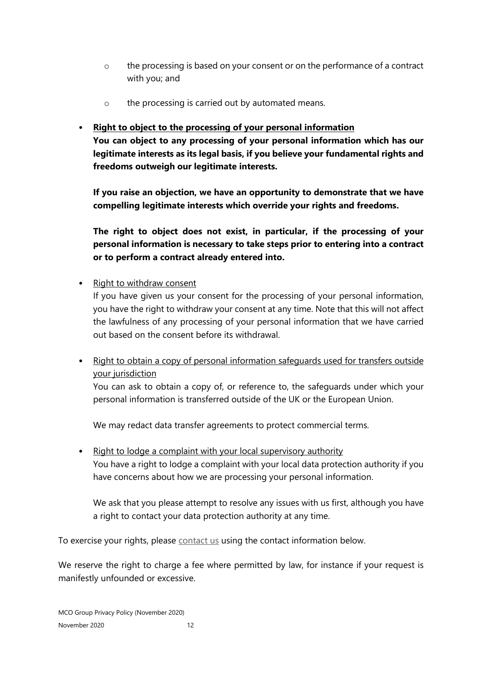- o the processing is based on your consent or on the performance of a contract with you; and
- o the processing is carried out by automated means.

## • **Right to object to the processing of your personal information**

**You can object to any processing of your personal information which has our legitimate interests as its legal basis, if you believe your fundamental rights and freedoms outweigh our legitimate interests.** 

**If you raise an objection, we have an opportunity to demonstrate that we have compelling legitimate interests which override your rights and freedoms.** 

**The right to object does not exist, in particular, if the processing of your personal information is necessary to take steps prior to entering into a contract or to perform a contract already entered into.** 

• Right to withdraw consent

If you have given us your consent for the processing of your personal information, you have the right to withdraw your consent at any time. Note that this will not affect the lawfulness of any processing of your personal information that we have carried out based on the consent before its withdrawal.

• Right to obtain a copy of personal information safeguards used for transfers outside your jurisdiction

You can ask to obtain a copy of, or reference to, the safeguards under which your personal information is transferred outside of the UK or the European Union.

We may redact data transfer agreements to protect commercial terms.

• Right to lodge a complaint with your local supervisory authority You have a right to lodge a complaint with your local data protection authority if you have concerns about how we are processing your personal information.

We ask that you please attempt to resolve any issues with us first, although you have a right to contact your data protection authority at any time.

To exercise your rights, please contact us using the contact information below.

We reserve the right to charge a fee where permitted by law, for instance if your request is manifestly unfounded or excessive.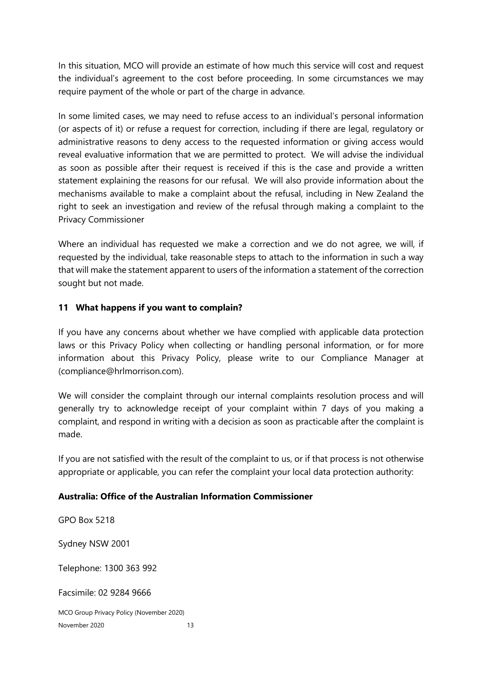In this situation, MCO will provide an estimate of how much this service will cost and request the individual's agreement to the cost before proceeding. In some circumstances we may require payment of the whole or part of the charge in advance.

In some limited cases, we may need to refuse access to an individual's personal information (or aspects of it) or refuse a request for correction, including if there are legal, regulatory or administrative reasons to deny access to the requested information or giving access would reveal evaluative information that we are permitted to protect. We will advise the individual as soon as possible after their request is received if this is the case and provide a written statement explaining the reasons for our refusal. We will also provide information about the mechanisms available to make a complaint about the refusal, including in New Zealand the right to seek an investigation and review of the refusal through making a complaint to the Privacy Commissioner

Where an individual has requested we make a correction and we do not agree, we will, if requested by the individual, take reasonable steps to attach to the information in such a way that will make the statement apparent to users of the information a statement of the correction sought but not made.

### <span id="page-12-0"></span>**11 What happens if you want to complain?**

If you have any concerns about whether we have complied with applicable data protection laws or this Privacy Policy when collecting or handling personal information, or for more information about this Privacy Policy, please write to our Compliance Manager at (compliance@hrlmorrison.com).

We will consider the complaint through our internal complaints resolution process and will generally try to acknowledge receipt of your complaint within 7 days of you making a complaint, and respond in writing with a decision as soon as practicable after the complaint is made.

If you are not satisfied with the result of the complaint to us, or if that process is not otherwise appropriate or applicable, you can refer the complaint your local data protection authority:

### **Australia: Office of the Australian Information Commissioner**

MCO Group Privacy Policy (November 2020) November 2020 13 GPO Box 5218 Sydney NSW 2001 Telephone: 1300 363 992 Facsimile: 02 9284 9666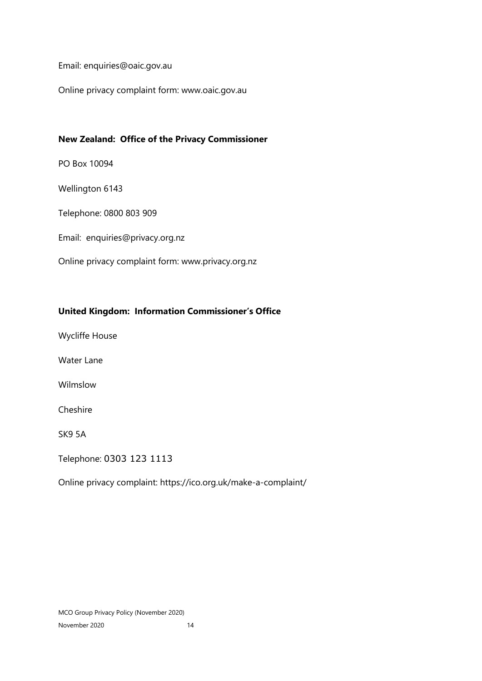Email: enquiries@oaic.gov.au

Online privacy complaint form: www.oaic.gov.au

#### **New Zealand: Office of the Privacy Commissioner**

PO Box 10094

Wellington 6143

Telephone: 0800 803 909

Email: enquiries@privacy.org.nz

Online privacy complaint form: www.privacy.org.nz

#### **United Kingdom: Information Commissioner's Office**

Wycliffe House

Water Lane

Wilmslow

Cheshire

SK9 5A

Telephone: 0303 123 1113

Online privacy complaint: https://ico.org.uk/make-a-complaint/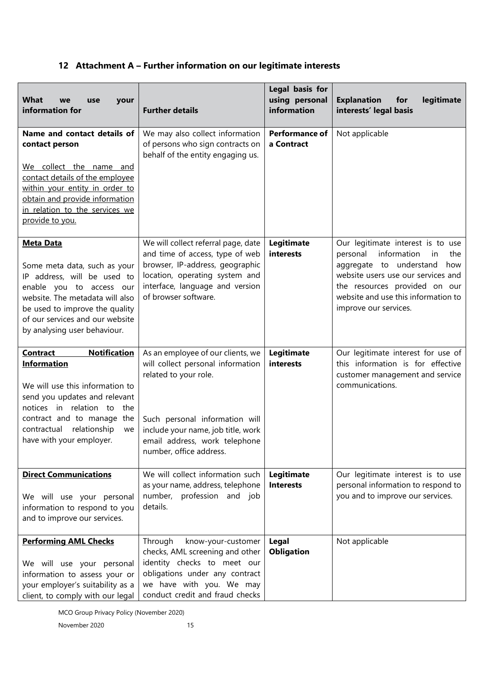## **12 Attachment A – Further information on our legitimate interests**

| <b>What</b><br>we<br>your<br>use<br>information for                                                                                                                                                                                                           | <b>Further details</b>                                                                                                                                                                                                              | Legal basis for<br>using personal<br>information | <b>Explanation</b><br>for<br>legitimate<br>interests' legal basis                                                                                                                                                                               |
|---------------------------------------------------------------------------------------------------------------------------------------------------------------------------------------------------------------------------------------------------------------|-------------------------------------------------------------------------------------------------------------------------------------------------------------------------------------------------------------------------------------|--------------------------------------------------|-------------------------------------------------------------------------------------------------------------------------------------------------------------------------------------------------------------------------------------------------|
| Name and contact details of<br>contact person<br>We collect the name and<br>contact details of the employee<br>within your entity in order to<br>obtain and provide information<br>in relation to the services we<br>provide to you.                          | We may also collect information<br>of persons who sign contracts on<br>behalf of the entity engaging us.                                                                                                                            | <b>Performance of</b><br>a Contract              | Not applicable                                                                                                                                                                                                                                  |
| <b>Meta Data</b><br>Some meta data, such as your<br>IP address, will be used to<br>enable you to access our<br>website. The metadata will also<br>be used to improve the quality<br>of our services and our website<br>by analysing user behaviour.           | We will collect referral page, date<br>and time of access, type of web<br>browser, IP-address, geographic<br>location, operating system and<br>interface, language and version<br>of browser software.                              | Legitimate<br>interests                          | Our legitimate interest is to use<br>personal information<br>in<br>the<br>aggregate to understand<br>how<br>website users use our services and<br>the resources provided on our<br>website and use this information to<br>improve our services. |
| <b>Notification</b><br><b>Contract</b><br><b>Information</b><br>We will use this information to<br>send you updates and relevant<br>notices in relation to the<br>contract and to manage the<br>relationship<br>contractual<br>we<br>have with your employer. | As an employee of our clients, we<br>will collect personal information<br>related to your role.<br>Such personal information will<br>include your name, job title, work<br>email address, work telephone<br>number, office address. | Legitimate<br>interests                          | Our legitimate interest for use of<br>this information is for effective<br>customer management and service<br>communications.                                                                                                                   |
| <b>Direct Communications</b><br>We will use your personal<br>information to respond to you<br>and to improve our services.                                                                                                                                    | We will collect information such<br>as your name, address, telephone<br>number, profession and job<br>details.                                                                                                                      | Legitimate<br><b>Interests</b>                   | Our legitimate interest is to use<br>personal information to respond to<br>you and to improve our services.                                                                                                                                     |
| <b>Performing AML Checks</b><br>We will use your personal<br>information to assess your or<br>your employer's suitability as a<br>client, to comply with our legal                                                                                            | Through<br>know-your-customer<br>checks, AML screening and other<br>identity checks to meet our<br>obligations under any contract<br>we have with you. We may<br>conduct credit and fraud checks                                    | Legal<br><b>Obligation</b>                       | Not applicable                                                                                                                                                                                                                                  |

MCO Group Privacy Policy (November 2020)

November 2020 15